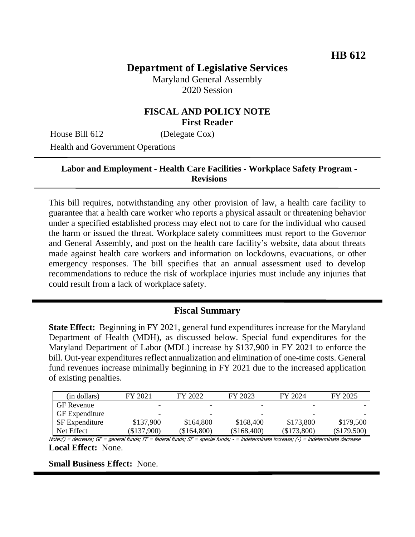# **Department of Legislative Services**

Maryland General Assembly 2020 Session

### **FISCAL AND POLICY NOTE First Reader**

House Bill 612 (Delegate Cox)

Health and Government Operations

#### **Labor and Employment - Health Care Facilities - Workplace Safety Program - Revisions**

This bill requires, notwithstanding any other provision of law, a health care facility to guarantee that a health care worker who reports a physical assault or threatening behavior under a specified established process may elect not to care for the individual who caused the harm or issued the threat. Workplace safety committees must report to the Governor and General Assembly, and post on the health care facility's website, data about threats made against health care workers and information on lockdowns, evacuations, or other emergency responses. The bill specifies that an annual assessment used to develop recommendations to reduce the risk of workplace injuries must include any injuries that could result from a lack of workplace safety.

#### **Fiscal Summary**

**State Effect:** Beginning in FY 2021, general fund expenditures increase for the Maryland Department of Health (MDH), as discussed below. Special fund expenditures for the Maryland Department of Labor (MDL) increase by \$137,900 in FY 2021 to enforce the bill. Out-year expenditures reflect annualization and elimination of one-time costs. General fund revenues increase minimally beginning in FY 2021 due to the increased application of existing penalties.

| (in dollars)          | FY 2021                  | FY 2022     | FY 2023                  | FY 2024       | FY 2025     |
|-----------------------|--------------------------|-------------|--------------------------|---------------|-------------|
| <b>GF</b> Revenue     | -                        | -           | -                        | -             |             |
| <b>GF</b> Expenditure | $\overline{\phantom{0}}$ | -           | $\overline{\phantom{a}}$ | -             |             |
| <b>SF</b> Expenditure | \$137,900                | \$164,800   | \$168,400                | \$173,800     | \$179,500   |
| Net Effect            | $(\$137,900)$            | (\$164,800) | $(\$168,400)$            | $(\$173,800)$ | (\$179,500) |

Note:() = decrease; GF = general funds; FF = federal funds; SF = special funds; - = indeterminate increase; (-) = indeterminate decrease **Local Effect:** None.

**Small Business Effect:** None.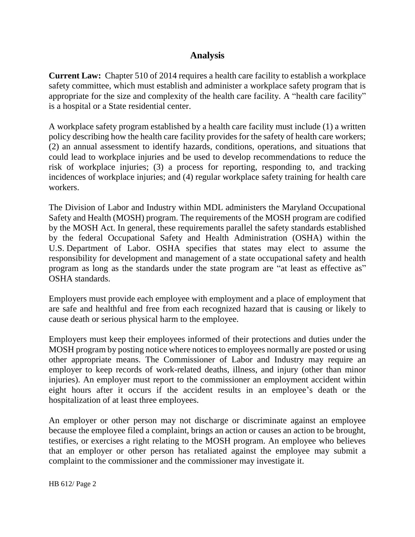## **Analysis**

**Current Law:** Chapter 510 of 2014 requires a health care facility to establish a workplace safety committee, which must establish and administer a workplace safety program that is appropriate for the size and complexity of the health care facility. A "health care facility" is a hospital or a State residential center.

A workplace safety program established by a health care facility must include (1) a written policy describing how the health care facility provides for the safety of health care workers; (2) an annual assessment to identify hazards, conditions, operations, and situations that could lead to workplace injuries and be used to develop recommendations to reduce the risk of workplace injuries; (3) a process for reporting, responding to, and tracking incidences of workplace injuries; and (4) regular workplace safety training for health care workers.

The Division of Labor and Industry within MDL administers the Maryland Occupational Safety and Health (MOSH) program. The requirements of the MOSH program are codified by the MOSH Act. In general, these requirements parallel the safety standards established by the federal Occupational Safety and Health Administration (OSHA) within the U.S. Department of Labor. OSHA specifies that states may elect to assume the responsibility for development and management of a state occupational safety and health program as long as the standards under the state program are "at least as effective as" OSHA standards.

Employers must provide each employee with employment and a place of employment that are safe and healthful and free from each recognized hazard that is causing or likely to cause death or serious physical harm to the employee.

Employers must keep their employees informed of their protections and duties under the MOSH program by posting notice where notices to employees normally are posted or using other appropriate means. The Commissioner of Labor and Industry may require an employer to keep records of work-related deaths, illness, and injury (other than minor injuries). An employer must report to the commissioner an employment accident within eight hours after it occurs if the accident results in an employee's death or the hospitalization of at least three employees.

An employer or other person may not discharge or discriminate against an employee because the employee filed a complaint, brings an action or causes an action to be brought, testifies, or exercises a right relating to the MOSH program. An employee who believes that an employer or other person has retaliated against the employee may submit a complaint to the commissioner and the commissioner may investigate it.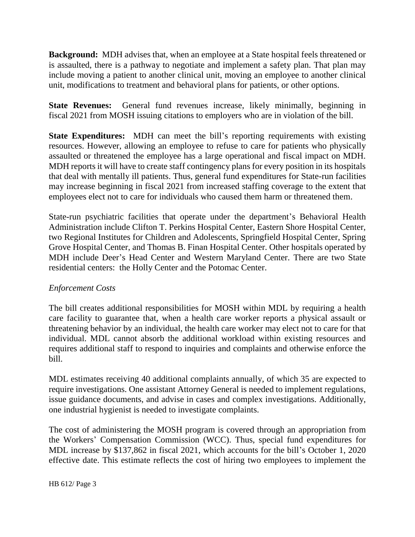**Background:** MDH advises that, when an employee at a State hospital feels threatened or is assaulted, there is a pathway to negotiate and implement a safety plan. That plan may include moving a patient to another clinical unit, moving an employee to another clinical unit, modifications to treatment and behavioral plans for patients, or other options.

**State Revenues:** General fund revenues increase, likely minimally, beginning in fiscal 2021 from MOSH issuing citations to employers who are in violation of the bill.

**State Expenditures:** MDH can meet the bill's reporting requirements with existing resources. However, allowing an employee to refuse to care for patients who physically assaulted or threatened the employee has a large operational and fiscal impact on MDH. MDH reports it will have to create staff contingency plans for every position in its hospitals that deal with mentally ill patients. Thus, general fund expenditures for State-run facilities may increase beginning in fiscal 2021 from increased staffing coverage to the extent that employees elect not to care for individuals who caused them harm or threatened them.

State-run psychiatric facilities that operate under the department's Behavioral Health Administration include Clifton T. Perkins Hospital Center, Eastern Shore Hospital Center, two Regional Institutes for Children and Adolescents, Springfield Hospital Center, Spring Grove Hospital Center, and Thomas B. Finan Hospital Center. Other hospitals operated by MDH include Deer's Head Center and Western Maryland Center. There are two State residential centers: the Holly Center and the Potomac Center.

#### *Enforcement Costs*

The bill creates additional responsibilities for MOSH within MDL by requiring a health care facility to guarantee that, when a health care worker reports a physical assault or threatening behavior by an individual, the health care worker may elect not to care for that individual. MDL cannot absorb the additional workload within existing resources and requires additional staff to respond to inquiries and complaints and otherwise enforce the bill.

MDL estimates receiving 40 additional complaints annually, of which 35 are expected to require investigations. One assistant Attorney General is needed to implement regulations, issue guidance documents, and advise in cases and complex investigations. Additionally, one industrial hygienist is needed to investigate complaints.

The cost of administering the MOSH program is covered through an appropriation from the Workers' Compensation Commission (WCC). Thus, special fund expenditures for MDL increase by \$137,862 in fiscal 2021, which accounts for the bill's October 1, 2020 effective date. This estimate reflects the cost of hiring two employees to implement the